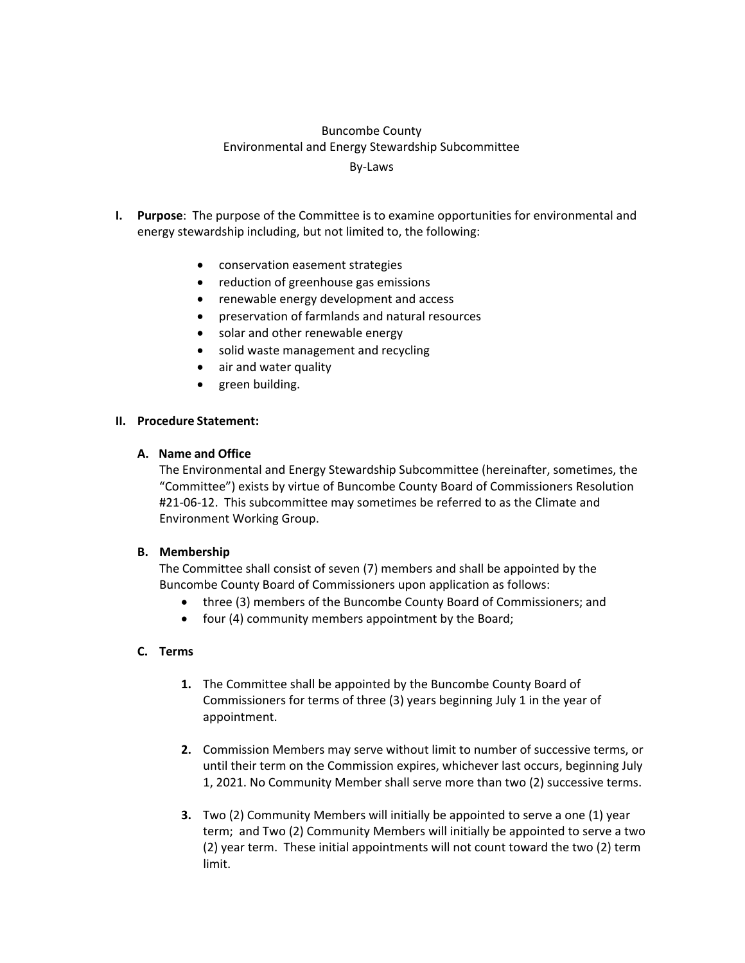### Buncombe County Environmental and Energy Stewardship Subcommittee By‐Laws

- **I. Purpose**: The purpose of the Committee is to examine opportunities for environmental and energy stewardship including, but not limited to, the following:
	- conservation easement strategies
	- reduction of greenhouse gas emissions
	- renewable energy development and access
	- preservation of farmlands and natural resources
	- solar and other renewable energy
	- solid waste management and recycling
	- air and water quality
	- green building.

#### **II. Procedure Statement:**

#### **A. Name and Office**

The Environmental and Energy Stewardship Subcommittee (hereinafter, sometimes, the "Committee") exists by virtue of Buncombe County Board of Commissioners Resolution #21‐06‐12. This subcommittee may sometimes be referred to as the Climate and Environment Working Group.

#### **B. Membership**

The Committee shall consist of seven (7) members and shall be appointed by the Buncombe County Board of Commissioners upon application as follows:

- three (3) members of the Buncombe County Board of Commissioners; and
- four (4) community members appointment by the Board;

#### **C. Terms**

- **1.** The Committee shall be appointed by the Buncombe County Board of Commissioners for terms of three (3) years beginning July 1 in the year of appointment.
- **2.** Commission Members may serve without limit to number of successive terms, or until their term on the Commission expires, whichever last occurs, beginning July 1, 2021. No Community Member shall serve more than two (2) successive terms.
- **3.** Two (2) Community Members will initially be appointed to serve a one (1) year term; and Two (2) Community Members will initially be appointed to serve a two (2) year term. These initial appointments will not count toward the two (2) term limit.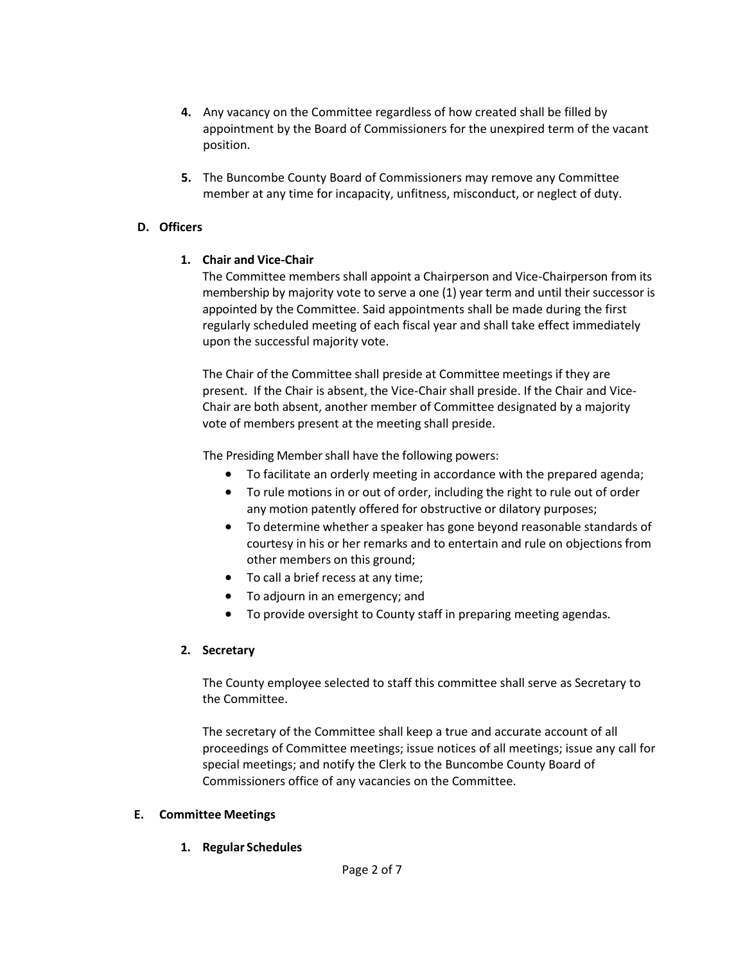- **4.** Any vacancy on the Committee regardless of how created shall be filled by appointment by the Board of Commissioners for the unexpired term of the vacant position.
- **5.** The Buncombe County Board of Commissioners may remove any Committee member at any time for incapacity, unfitness, misconduct, or neglect of duty.

### **D. Officers**

# **1. Chair and Vice‐Chair**

The Committee members shall appoint a Chairperson and Vice‐Chairperson from its membership by majority vote to serve a one (1) year term and until their successor is appointed by the Committee. Said appointments shall be made during the first regularly scheduled meeting of each fiscal year and shall take effect immediately upon the successful majority vote.

The Chair of the Committee shall preside at Committee meetings if they are present. If the Chair is absent, the Vice‐Chair shall preside. If the Chair and Vice‐ Chair are both absent, another member of Committee designated by a majority vote of members present at the meeting shall preside.

The Presiding Member shall have the following powers:

- To facilitate an orderly meeting in accordance with the prepared agenda;
- To rule motions in or out of order, including the right to rule out of order any motion patently offered for obstructive or dilatory purposes;
- To determine whether a speaker has gone beyond reasonable standards of courtesy in his or her remarks and to entertain and rule on objections from other members on this ground;
- To call a brief recess at any time;
- To adjourn in an emergency; and
- To provide oversight to County staff in preparing meeting agendas.

#### **2. Secretary**

The County employee selected to staff this committee shall serve as Secretary to the Committee.

The secretary of the Committee shall keep a true and accurate account of all proceedings of Committee meetings; issue notices of all meetings; issue any call for special meetings; and notify the Clerk to the Buncombe County Board of Commissioners office of any vacancies on the Committee.

#### **E. Committee Meetings**

**1. Regular Schedules**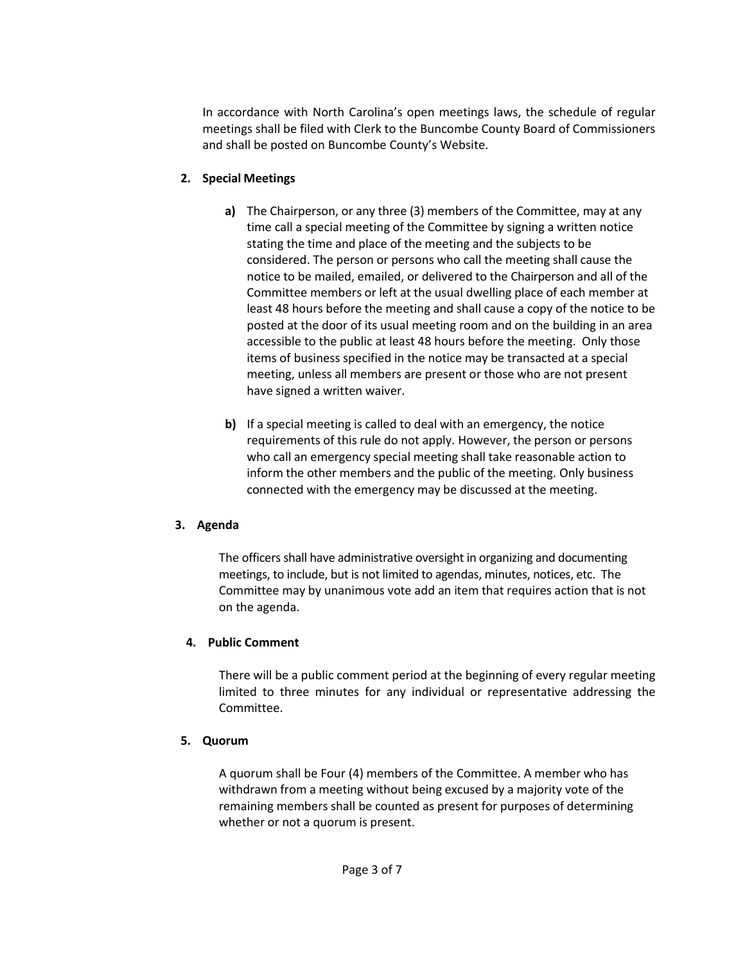In accordance with North Carolina's open meetings laws, the schedule of regular meetings shall be filed with Clerk to the Buncombe County Board of Commissioners and shall be posted on Buncombe County's Website.

# **2. Special Meetings**

- **a)** The Chairperson, or any three (3) members of the Committee, may at any time call a special meeting of the Committee by signing a written notice stating the time and place of the meeting and the subjects to be considered. The person or persons who call the meeting shall cause the notice to be mailed, emailed, or delivered to the Chairperson and all of the Committee members or left at the usual dwelling place of each member at least 48 hours before the meeting and shall cause a copy of the notice to be posted at the door of its usual meeting room and on the building in an area accessible to the public at least 48 hours before the meeting. Only those items of business specified in the notice may be transacted at a special meeting, unless all members are present or those who are not present have signed a written waiver.
- **b)** If a special meeting is called to deal with an emergency, the notice requirements of this rule do not apply. However, the person or persons who call an emergency special meeting shall take reasonable action to inform the other members and the public of the meeting. Only business connected with the emergency may be discussed at the meeting.

#### **3. Agenda**

The officersshall have administrative oversight in organizing and documenting meetings, to include, but is not limited to agendas, minutes, notices, etc. The Committee may by unanimous vote add an item that requires action that is not on the agenda.

# **4. Public Comment**

There will be a public comment period at the beginning of every regular meeting limited to three minutes for any individual or representative addressing the Committee.

# **5. Quorum**

A quorum shall be Four (4) members of the Committee. A member who has withdrawn from a meeting without being excused by a majority vote of the remaining members shall be counted as present for purposes of determining whether or not a quorum is present.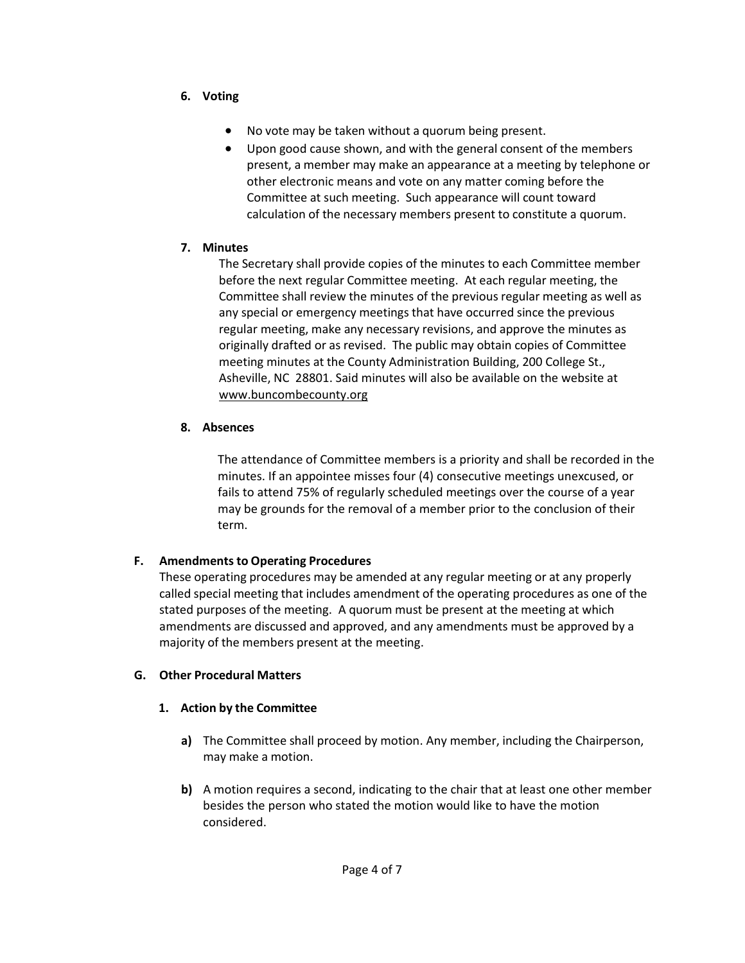- **6. Voting**
	- No vote may be taken without a quorum being present.
	- Upon good cause shown, and with the general consent of the members present, a member may make an appearance at a meeting by telephone or other electronic means and vote on any matter coming before the Committee at such meeting. Such appearance will count toward calculation of the necessary members present to constitute a quorum.

### **7. Minutes**

The Secretary shall provide copies of the minutes to each Committee member before the next regular Committee meeting. At each regular meeting, the Committee shall review the minutes of the previous regular meeting as well as any special or emergency meetings that have occurred since the previous regular meeting, make any necessary revisions, and approve the minutes as originally drafted or as revised. The public may obtain copies of Committee meeting minutes at the County Administration Building, 200 College St., Asheville, NC 28801. Said minutes will also be available on the website at www.buncombecounty.org

### **8. Absences**

The attendance of Committee members is a priority and shall be recorded in the minutes. If an appointee misses four (4) consecutive meetings unexcused, or fails to attend 75% of regularly scheduled meetings over the course of a year may be grounds for the removal of a member prior to the conclusion of their term.

# **F. Amendments to Operating Procedures**

These operating procedures may be amended at any regular meeting or at any properly called special meeting that includes amendment of the operating procedures as one of the stated purposes of the meeting. A quorum must be present at the meeting at which amendments are discussed and approved, and any amendments must be approved by a majority of the members present at the meeting.

# **G. Other Procedural Matters**

# **1. Action by the Committee**

- **a)** The Committee shall proceed by motion. Any member, including the Chairperson, may make a motion.
- **b)** A motion requires a second, indicating to the chair that at least one other member besides the person who stated the motion would like to have the motion considered.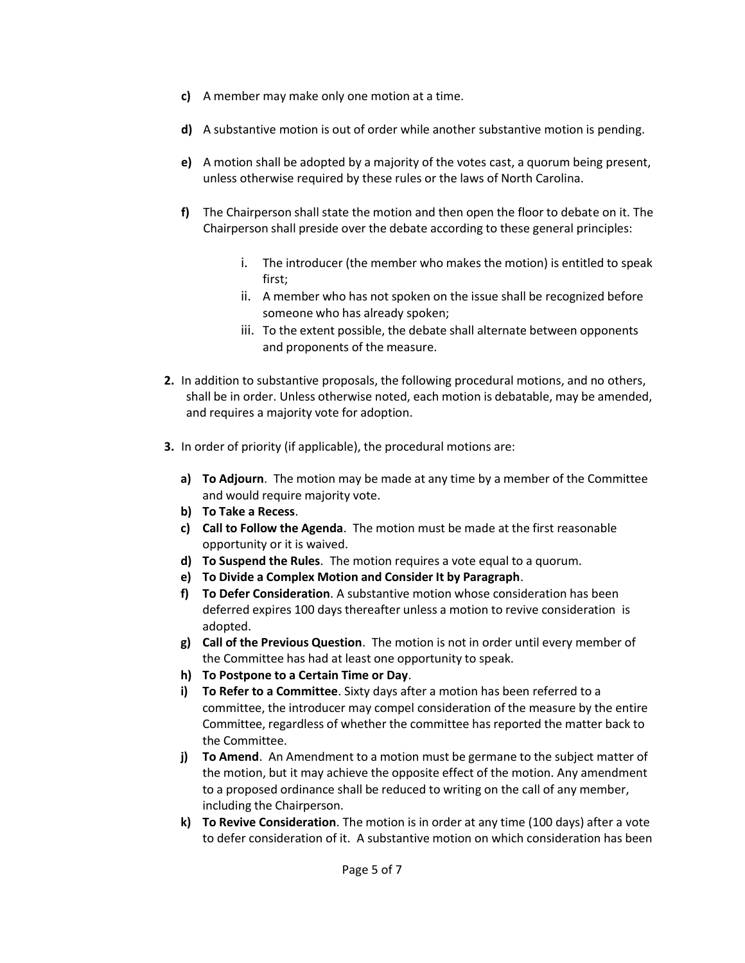- **c)** A member may make only one motion at a time.
- **d)** A substantive motion is out of order while another substantive motion is pending.
- **e)** A motion shall be adopted by a majority of the votes cast, a quorum being present, unless otherwise required by these rules or the laws of North Carolina.
- **f)** The Chairperson shall state the motion and then open the floor to debate on it. The Chairperson shall preside over the debate according to these general principles:
	- i. The introducer (the member who makes the motion) is entitled to speak first;
	- ii. A member who has not spoken on the issue shall be recognized before someone who has already spoken;
	- iii. To the extent possible, the debate shall alternate between opponents and proponents of the measure.
- **2.** In addition to substantive proposals, the following procedural motions, and no others, shall be in order. Unless otherwise noted, each motion is debatable, may be amended, and requires a majority vote for adoption.
- **3.** In order of priority (if applicable), the procedural motions are:
	- **a) To Adjourn**. The motion may be made at any time by a member of the Committee and would require majority vote.
	- **b) To Take a Recess**.
	- **c) Call to Follow the Agenda**. The motion must be made at the first reasonable opportunity or it is waived.
	- **d) To Suspend the Rules**. The motion requires a vote equal to a quorum.
	- **e) To Divide a Complex Motion and Consider It by Paragraph**.
	- **f) To Defer Consideration**. A substantive motion whose consideration has been deferred expires 100 days thereafter unless a motion to revive consideration is adopted.
	- **g) Call of the Previous Question**. The motion is not in order until every member of the Committee has had at least one opportunity to speak.
	- **h) To Postpone to a Certain Time or Day**.
	- **i) To Refer to a Committee**. Sixty days after a motion has been referred to a committee, the introducer may compel consideration of the measure by the entire Committee, regardless of whether the committee has reported the matter back to the Committee.
	- **j) To Amend**. An Amendment to a motion must be germane to the subject matter of the motion, but it may achieve the opposite effect of the motion. Any amendment to a proposed ordinance shall be reduced to writing on the call of any member, including the Chairperson.
	- **k) To Revive Consideration**. The motion is in order at any time (100 days) after a vote to defer consideration of it. A substantive motion on which consideration has been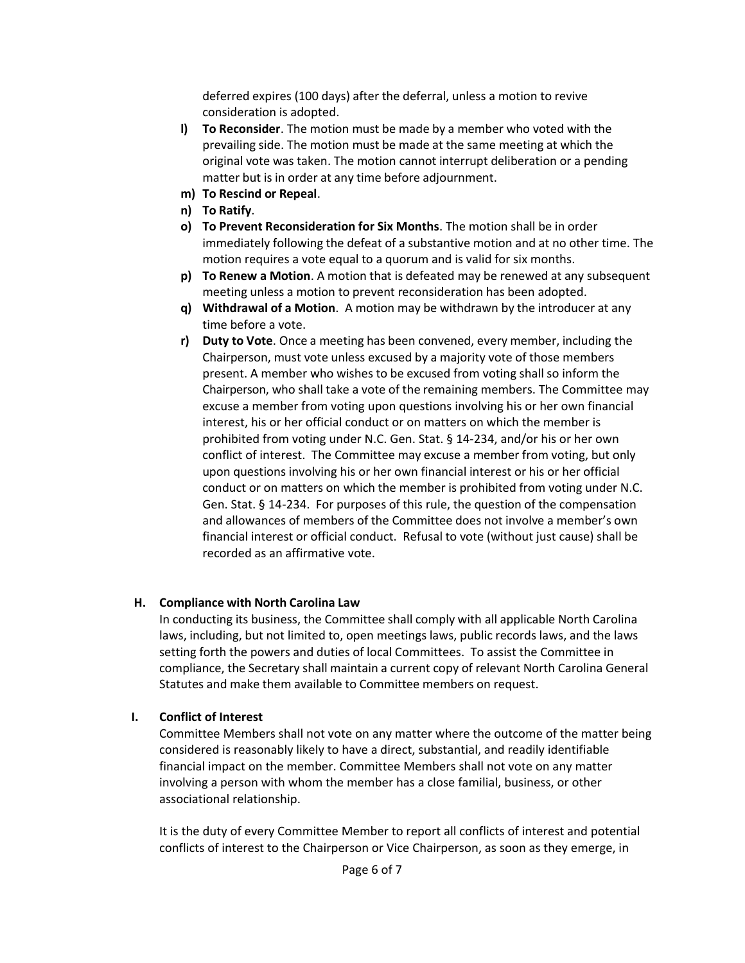deferred expires (100 days) after the deferral, unless a motion to revive consideration is adopted.

- **l) To Reconsider**. The motion must be made by a member who voted with the prevailing side. The motion must be made at the same meeting at which the original vote was taken. The motion cannot interrupt deliberation or a pending matter but is in order at any time before adjournment.
- **m) To Rescind or Repeal**.
- **n) To Ratify**.
- **o) To Prevent Reconsideration for Six Months**. The motion shall be in order immediately following the defeat of a substantive motion and at no other time. The motion requires a vote equal to a quorum and is valid for six months.
- **p) To Renew a Motion**. A motion that is defeated may be renewed at any subsequent meeting unless a motion to prevent reconsideration has been adopted.
- **q) Withdrawal of a Motion**. A motion may be withdrawn by the introducer at any time before a vote.
- **r) Duty to Vote**. Once a meeting has been convened, every member, including the Chairperson, must vote unless excused by a majority vote of those members present. A member who wishes to be excused from voting shall so inform the Chairperson, who shall take a vote of the remaining members. The Committee may excuse a member from voting upon questions involving his or her own financial interest, his or her official conduct or on matters on which the member is prohibited from voting under N.C. Gen. Stat. § 14‐234, and/or his or her own conflict of interest. The Committee may excuse a member from voting, but only upon questions involving his or her own financial interest or his or her official conduct or on matters on which the member is prohibited from voting under N.C. Gen. Stat. § 14‐234. For purposes of this rule, the question of the compensation and allowances of members of the Committee does not involve a member's own financial interest or official conduct. Refusal to vote (without just cause) shall be recorded as an affirmative vote.

#### **H. Compliance with North Carolina Law**

In conducting its business, the Committee shall comply with all applicable North Carolina laws, including, but not limited to, open meetings laws, public records laws, and the laws setting forth the powers and duties of local Committees. To assist the Committee in compliance, the Secretary shall maintain a current copy of relevant North Carolina General Statutes and make them available to Committee members on request.

#### **I. Conflict of Interest**

Committee Members shall not vote on any matter where the outcome of the matter being considered is reasonably likely to have a direct, substantial, and readily identifiable financial impact on the member. Committee Members shall not vote on any matter involving a person with whom the member has a close familial, business, or other associational relationship.

It is the duty of every Committee Member to report all conflicts of interest and potential conflicts of interest to the Chairperson or Vice Chairperson, as soon as they emerge, in